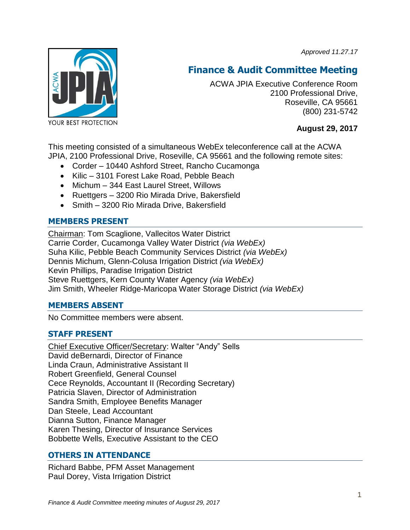*Approved 11.27.17*



# **Finance & Audit Committee Meeting**

ACWA JPIA Executive Conference Room 2100 Professional Drive, Roseville, CA 95661 (800) 231-5742

**August 29, 2017**

This meeting consisted of a simultaneous WebEx teleconference call at the ACWA JPIA, 2100 Professional Drive, Roseville, CA 95661 and the following remote sites:

- Corder 10440 Ashford Street, Rancho Cucamonga
- Kilic 3101 Forest Lake Road, Pebble Beach
- Michum 344 East Laurel Street, Willows
- Ruettgers 3200 Rio Mirada Drive, Bakersfield
- Smith 3200 Rio Mirada Drive, Bakersfield

## **MEMBERS PRESENT**

Chairman: Tom Scaglione, Vallecitos Water District Carrie Corder, Cucamonga Valley Water District *(via WebEx)* Suha Kilic, Pebble Beach Community Services District *(via WebEx)*  Dennis Michum, Glenn-Colusa Irrigation District *(via WebEx)* Kevin Phillips, Paradise Irrigation District Steve Ruettgers, Kern County Water Agency *(via WebEx)* Jim Smith, Wheeler Ridge-Maricopa Water Storage District *(via WebEx)*

## **MEMBERS ABSENT**

No Committee members were absent.

# **STAFF PRESENT**

Chief Executive Officer/Secretary: Walter "Andy" Sells David deBernardi, Director of Finance Linda Craun, Administrative Assistant II Robert Greenfield, General Counsel Cece Reynolds, Accountant II (Recording Secretary) Patricia Slaven, Director of Administration Sandra Smith, Employee Benefits Manager Dan Steele, Lead Accountant Dianna Sutton, Finance Manager Karen Thesing, Director of Insurance Services Bobbette Wells, Executive Assistant to the CEO

# **OTHERS IN ATTENDANCE**

Richard Babbe, PFM Asset Management Paul Dorey, Vista Irrigation District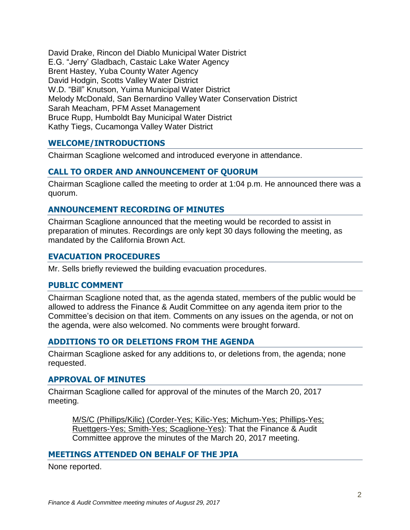David Drake, Rincon del Diablo Municipal Water District E.G. "Jerry' Gladbach, Castaic Lake Water Agency Brent Hastey, Yuba County Water Agency David Hodgin, Scotts Valley Water District W.D. "Bill" Knutson, Yuima Municipal Water District Melody McDonald, San Bernardino Valley Water Conservation District Sarah Meacham, PFM Asset Management Bruce Rupp, Humboldt Bay Municipal Water District Kathy Tiegs, Cucamonga Valley Water District

## **WELCOME/INTRODUCTIONS**

Chairman Scaglione welcomed and introduced everyone in attendance.

## **CALL TO ORDER AND ANNOUNCEMENT OF QUORUM**

Chairman Scaglione called the meeting to order at 1:04 p.m. He announced there was a quorum.

#### **ANNOUNCEMENT RECORDING OF MINUTES**

Chairman Scaglione announced that the meeting would be recorded to assist in preparation of minutes. Recordings are only kept 30 days following the meeting, as mandated by the California Brown Act.

#### **EVACUATION PROCEDURES**

Mr. Sells briefly reviewed the building evacuation procedures.

#### **PUBLIC COMMENT**

Chairman Scaglione noted that, as the agenda stated, members of the public would be allowed to address the Finance & Audit Committee on any agenda item prior to the Committee's decision on that item. Comments on any issues on the agenda, or not on the agenda, were also welcomed. No comments were brought forward.

#### **ADDITIONS TO OR DELETIONS FROM THE AGENDA**

Chairman Scaglione asked for any additions to, or deletions from, the agenda; none requested.

#### **APPROVAL OF MINUTES**

Chairman Scaglione called for approval of the minutes of the March 20, 2017 meeting.

M/S/C (Phillips/Kilic) (Corder-Yes; Kilic-Yes; Michum-Yes; Phillips-Yes; Ruettgers-Yes; Smith-Yes; Scaglione-Yes): That the Finance & Audit Committee approve the minutes of the March 20, 2017 meeting.

#### **MEETINGS ATTENDED ON BEHALF OF THE JPIA**

None reported.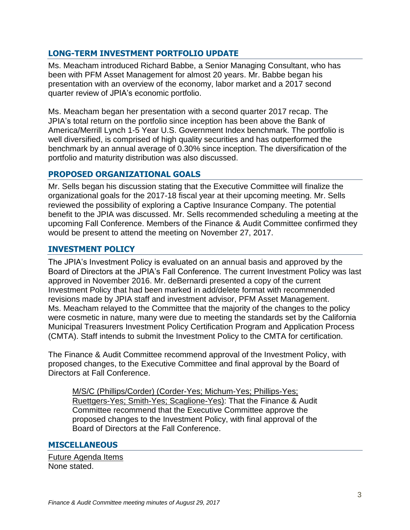# **LONG-TERM INVESTMENT PORTFOLIO UPDATE**

Ms. Meacham introduced Richard Babbe, a Senior Managing Consultant, who has been with PFM Asset Management for almost 20 years. Mr. Babbe began his presentation with an overview of the economy, labor market and a 2017 second quarter review of JPIA's economic portfolio.

Ms. Meacham began her presentation with a second quarter 2017 recap. The JPIA's total return on the portfolio since inception has been above the Bank of America/Merrill Lynch 1-5 Year U.S. Government Index benchmark. The portfolio is well diversified, is comprised of high quality securities and has outperformed the benchmark by an annual average of 0.30% since inception. The diversification of the portfolio and maturity distribution was also discussed.

## **PROPOSED ORGANIZATIONAL GOALS**

Mr. Sells began his discussion stating that the Executive Committee will finalize the organizational goals for the 2017-18 fiscal year at their upcoming meeting. Mr. Sells reviewed the possibility of exploring a Captive Insurance Company. The potential benefit to the JPIA was discussed. Mr. Sells recommended scheduling a meeting at the upcoming Fall Conference. Members of the Finance & Audit Committee confirmed they would be present to attend the meeting on November 27, 2017.

# **INVESTMENT POLICY**

The JPIA's Investment Policy is evaluated on an annual basis and approved by the Board of Directors at the JPIA's Fall Conference. The current Investment Policy was last approved in November 2016. Mr. deBernardi presented a copy of the current Investment Policy that had been marked in add/delete format with recommended revisions made by JPIA staff and investment advisor, PFM Asset Management. Ms. Meacham relayed to the Committee that the majority of the changes to the policy were cosmetic in nature, many were due to meeting the standards set by the California Municipal Treasurers Investment Policy Certification Program and Application Process (CMTA). Staff intends to submit the Investment Policy to the CMTA for certification.

The Finance & Audit Committee recommend approval of the Investment Policy, with proposed changes, to the Executive Committee and final approval by the Board of Directors at Fall Conference.

M/S/C (Phillips/Corder) (Corder-Yes; Michum-Yes; Phillips-Yes; Ruettgers-Yes; Smith-Yes; Scaglione-Yes): That the Finance & Audit Committee recommend that the Executive Committee approve the proposed changes to the Investment Policy, with final approval of the Board of Directors at the Fall Conference.

# **MISCELLANEOUS**

Future Agenda Items None stated.